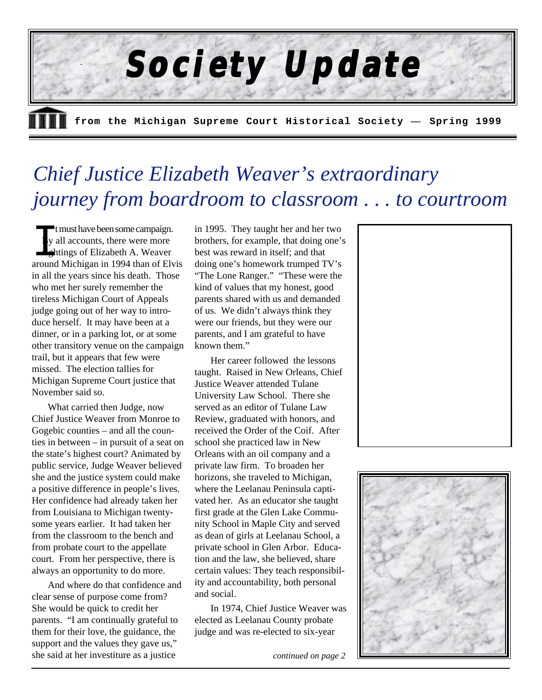

# *Chief Justice Elizabeth Weaver's extraordinary journey from boardroom to classroom . . . to courtroom*

t must have been some campaign. By all accounts, there were more sightings of Elizabeth A. Weaver around Michigan in 1994 than of Elvis in all the years since his death. Those who met her surely remember the tireless Michigan Court of Appeals judge going out of her way to introduce herself. It may have been at a dinner, or in a parking lot, or at some other transitory venue on the campaign trail, but it appears that few were missed. The election tallies for Michigan Supreme Court justice that November said so.

What carried then Judge, now Chief Justice Weaver from Monroe to Gogebic counties – and all the counties in between – in pursuit of a seat on the state's highest court? Animated by public service, Judge Weaver believed she and the justice system could make a positive difference in people's lives. Her confidence had already taken her from Louisiana to Michigan twentysome years earlier. It had taken her from the classroom to the bench and from probate court to the appellate court. From her perspective, there is always an opportunity to do more.

And where do that confidence and clear sense of purpose come from? She would be quick to credit her parents. "I am continually grateful to them for their love, the guidance, the support and the values they gave us," she said at her investiture as a justice

in 1995. They taught her and her two brothers, for example, that doing one's best was reward in itself; and that doing one's homework trumped TV's "The Lone Ranger." "These were the kind of values that my honest, good parents shared with us and demanded of us. We didn't always think they were our friends, but they were our parents, and I am grateful to have known them."

Her career followed the lessons taught. Raised in New Orleans, Chief Justice Weaver attended Tulane University Law School. There she served as an editor of Tulane Law Review, graduated with honors, and received the Order of the Coif. After school she practiced law in New Orleans with an oil company and a private law firm. To broaden her horizons, she traveled to Michigan, where the Leelanau Peninsula captivated her. As an educator she taught first grade at the Glen Lake Community School in Maple City and served as dean of girls at Leelanau School, a private school in Glen Arbor. Education and the law, she believed, share certain values: They teach responsibility and accountability, both personal and social.

In 1974, Chief Justice Weaver was elected as Leelanau County probate judge and was re-elected to six-year

*continued on page 2*



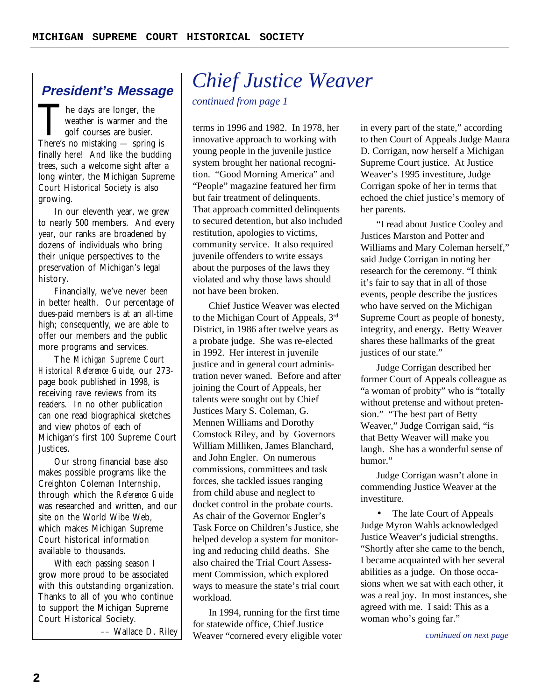### **President's Message**

he days are longer, the weather is warmer and the golf courses are busier. There's no mistaking — spring is finally here! And like the budding trees, such a welcome sight after a long winter, the Michigan Supreme Court Historical Society is also growing.

In our eleventh year, we grew to nearly 500 members. And every year, our ranks are broadened by dozens of individuals who bring their unique perspectives to the preservation of Michigan's legal history.

Financially, we've never been in better health. Our percentage of dues-paid members is at an all-time high; consequently, we are able to offer our members and the public more programs and services.

The Michigan Supreme Court Historical Reference Guide, our 273 page book published in 1998, is receiving rave reviews from its readers. In no other publication can one read biographical sketches and view photos of each of Michigan's first 100 Supreme Court Justices.

Our strong financial base also makes possible programs like the Creighton Coleman Internship, through which the Reference Guide was researched and written, and our site on the World Wibe Web, which makes Michigan Supreme Court historical information available to thousands.

With each passing season I grow more proud to be associated with this outstanding organization. Thanks to all of you who continue to support the Michigan Supreme Court Historical Society.

–– Wallace D. Riley

# *Chief Justice Weaver*

*continued from page 1*

terms in 1996 and 1982. In 1978, her innovative approach to working with young people in the juvenile justice system brought her national recognition. "Good Morning America" and "People" magazine featured her firm but fair treatment of delinquents. That approach committed delinquents to secured detention, but also included restitution, apologies to victims, community service. It also required juvenile offenders to write essays about the purposes of the laws they violated and why those laws should not have been broken.

Chief Justice Weaver was elected to the Michigan Court of Appeals, 3rd District, in 1986 after twelve years as a probate judge. She was re-elected in 1992. Her interest in juvenile justice and in general court administration never waned. Before and after joining the Court of Appeals, her talents were sought out by Chief Justices Mary S. Coleman, G. Mennen Williams and Dorothy Comstock Riley, and by Governors William Milliken, James Blanchard, and John Engler. On numerous commissions, committees and task forces, she tackled issues ranging from child abuse and neglect to docket control in the probate courts. As chair of the Governor Engler's Task Force on Children's Justice, she helped develop a system for monitoring and reducing child deaths. She also chaired the Trial Court Assessment Commission, which explored ways to measure the state's trial court workload.

In 1994, running for the first time for statewide office, Chief Justice Weaver "cornered every eligible voter in every part of the state," according to then Court of Appeals Judge Maura D. Corrigan, now herself a Michigan Supreme Court justice. At Justice Weaver's 1995 investiture, Judge Corrigan spoke of her in terms that echoed the chief justice's memory of her parents.

"I read about Justice Cooley and Justices Marston and Potter and Williams and Mary Coleman herself," said Judge Corrigan in noting her research for the ceremony. "I think it's fair to say that in all of those events, people describe the justices who have served on the Michigan Supreme Court as people of honesty, integrity, and energy. Betty Weaver shares these hallmarks of the great justices of our state."

Judge Corrigan described her former Court of Appeals colleague as "a woman of probity" who is "totally without pretense and without pretension." "The best part of Betty Weaver," Judge Corrigan said, "is that Betty Weaver will make you laugh. She has a wonderful sense of humor."

Judge Corrigan wasn't alone in commending Justice Weaver at the investiture.

• The late Court of Appeals Judge Myron Wahls acknowledged Justice Weaver's judicial strengths. "Shortly after she came to the bench, I became acquainted with her several abilities as a judge. On those occasions when we sat with each other, it was a real joy. In most instances, she agreed with me. I said: This as a woman who's going far."

*continued on next page*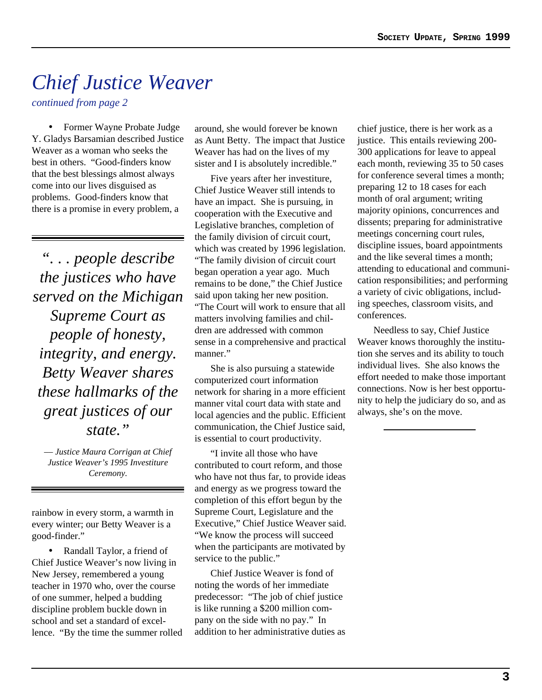# *Chief Justice Weaver*

*continued from page 2*

• Former Wayne Probate Judge Y. Gladys Barsamian described Justice Weaver as a woman who seeks the best in others. "Good-finders know that the best blessings almost always come into our lives disguised as problems. Good-finders know that there is a promise in every problem, a

*". . . people describe the justices who have served on the Michigan Supreme Court as people of honesty, integrity, and energy. Betty Weaver shares these hallmarks of the great justices of our state."*

*–– Justice Maura Corrigan at Chief Justice Weaver's 1995 Investiture Ceremony.*

rainbow in every storm, a warmth in every winter; our Betty Weaver is a good-finder."

• Randall Taylor, a friend of Chief Justice Weaver's now living in New Jersey, remembered a young teacher in 1970 who, over the course of one summer, helped a budding discipline problem buckle down in school and set a standard of excellence. "By the time the summer rolled

around, she would forever be known as Aunt Betty. The impact that Justice Weaver has had on the lives of my sister and I is absolutely incredible."

Five years after her investiture, Chief Justice Weaver still intends to have an impact. She is pursuing, in cooperation with the Executive and Legislative branches, completion of the family division of circuit court, which was created by 1996 legislation. "The family division of circuit court began operation a year ago. Much remains to be done," the Chief Justice said upon taking her new position. "The Court will work to ensure that all matters involving families and children are addressed with common sense in a comprehensive and practical manner."

She is also pursuing a statewide computerized court information network for sharing in a more efficient manner vital court data with state and local agencies and the public. Efficient communication, the Chief Justice said, is essential to court productivity.

"I invite all those who have contributed to court reform, and those who have not thus far, to provide ideas and energy as we progress toward the completion of this effort begun by the Supreme Court, Legislature and the Executive," Chief Justice Weaver said. "We know the process will succeed when the participants are motivated by service to the public."

Chief Justice Weaver is fond of noting the words of her immediate predecessor: "The job of chief justice is like running a \$200 million company on the side with no pay." In addition to her administrative duties as chief justice, there is her work as a justice. This entails reviewing 200- 300 applications for leave to appeal each month, reviewing 35 to 50 cases for conference several times a month; preparing 12 to 18 cases for each month of oral argument; writing majority opinions, concurrences and dissents; preparing for administrative meetings concerning court rules, discipline issues, board appointments and the like several times a month; attending to educational and communication responsibilities; and performing a variety of civic obligations, including speeches, classroom visits, and conferences.

Needless to say, Chief Justice Weaver knows thoroughly the institution she serves and its ability to touch individual lives. She also knows the effort needed to make those important connections. Now is her best opportunity to help the judiciary do so, and as always, she's on the move.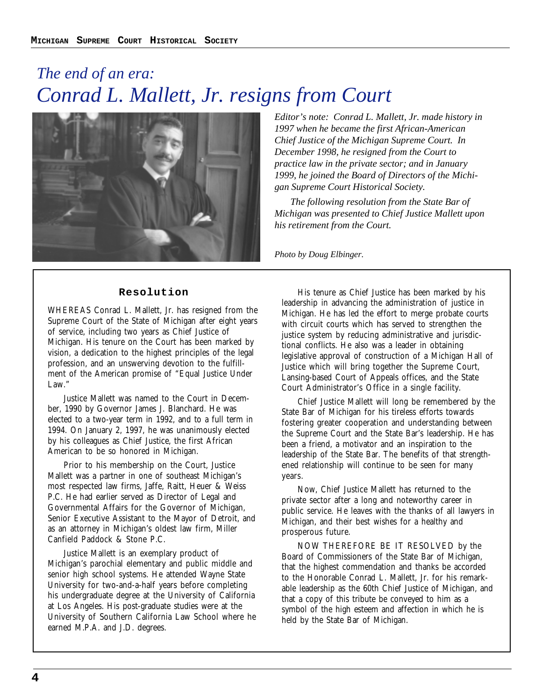### *The end of an era: Conrad L. Mallett, Jr. resigns from Court*



*Editor's note: Conrad L. Mallett, Jr. made history in 1997 when he became the first African-American Chief Justice of the Michigan Supreme Court. In December 1998, he resigned from the Court to practice law in the private sector; and in January 1999, he joined the Board of Directors of the Michigan Supreme Court Historical Society.*

*The following resolution from the State Bar of Michigan was presented to Chief Justice Mallett upon his retirement from the Court.*

*Photo by Doug Elbinger.*

#### **Resolution**

WHEREAS Conrad L. Mallett, Jr. has resigned from the Supreme Court of the State of Michigan after eight years of service, including two years as Chief Justice of Michigan. His tenure on the Court has been marked by vision, a dedication to the highest principles of the legal profession, and an unswerving devotion to the fulfillment of the American promise of "Equal Justice Under Law."

Justice Mallett was named to the Court in December, 1990 by Governor James J. Blanchard. He was elected to a two-year term in 1992, and to a full term in 1994. On January 2, 1997, he was unanimously elected by his colleagues as Chief Justice, the first African American to be so honored in Michigan.

Prior to his membership on the Court, Justice Mallett was a partner in one of southeast Michigan's most respected law firms, Jaffe, Raitt, Heuer & Weiss P.C. He had earlier served as Director of Legal and Governmental Affairs for the Governor of Michigan, Senior Executive Assistant to the Mayor of Detroit, and as an attorney in Michigan's oldest law firm, Miller Canfield Paddock & Stone P.C.

Justice Mallett is an exemplary product of Michigan's parochial elementary and public middle and senior high school systems. He attended Wayne State University for two-and-a-half years before completing his undergraduate degree at the University of California at Los Angeles. His post-graduate studies were at the University of Southern California Law School where he earned M.P.A. and J.D. degrees.

His tenure as Chief Justice has been marked by his leadership in advancing the administration of justice in Michigan. He has led the effort to merge probate courts with circuit courts which has served to strengthen the justice system by reducing administrative and jurisdictional conflicts. He also was a leader in obtaining legislative approval of construction of a Michigan Hall of Justice which will bring together the Supreme Court, Lansing-based Court of Appeals offices, and the State Court Administrator's Office in a single facility.

Chief Justice Mallett will long be remembered by the State Bar of Michigan for his tireless efforts towards fostering greater cooperation and understanding between the Supreme Court and the State Bar's leadership. He has been a friend, a motivator and an inspiration to the leadership of the State Bar. The benefits of that strengthened relationship will continue to be seen for many years.

Now, Chief Justice Mallett has returned to the private sector after a long and noteworthy career in public service. He leaves with the thanks of all lawyers in Michigan, and their best wishes for a healthy and prosperous future.

NOW THEREFORE BE IT RESOLVED by the Board of Commissioners of the State Bar of Michigan, that the highest commendation and thanks be accorded to the Honorable Conrad L. Mallett, Jr. for his remarkable leadership as the 60th Chief Justice of Michigan, and that a copy of this tribute be conveyed to him as a symbol of the high esteem and affection in which he is held by the State Bar of Michigan.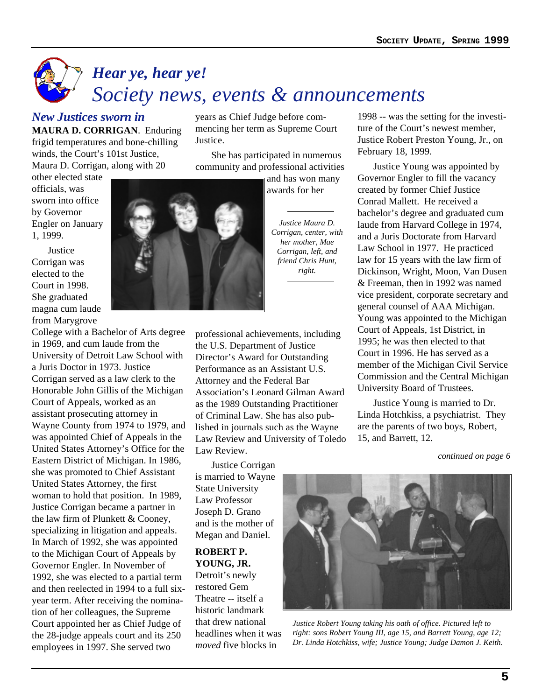# *Hear ye, hear ye! Society news, events & announcements*

### *New Justices sworn in*

**MAURA D. CORRIGAN**. Enduring frigid temperatures and bone-chilling winds, the Court's 101st Justice, Maura D. Corrigan, along with 20

other elected state

years as Chief Judge before commencing her term as Supreme Court Justice.

She has participated in numerous community and professional activities

> and has won many awards for her

*Justice Maura D. Corrigan, center, with her mother, Mae Corrigan, left, and friend Chris Hunt, right.*

professional achievements, including the U.S. Department of Justice Director's Award for Outstanding Performance as an Assistant U.S. Attorney and the Federal Bar Association's Leonard Gilman Award as the 1989 Outstanding Practitioner of Criminal Law. She has also published in journals such as the Wayne Law Review and University of Toledo Law Review.

Justice Corrigan is married to Wayne State University Law Professor Joseph D. Grano and is the mother of Megan and Daniel.

#### **ROBERT P. YOUNG, JR.**

Detroit's newly restored Gem Theatre -- itself a historic landmark that drew national headlines when it was *moved* five blocks in

1998 -- was the setting for the investiture of the Court's newest member, Justice Robert Preston Young, Jr., on February 18, 1999.

Justice Young was appointed by Governor Engler to fill the vacancy created by former Chief Justice Conrad Mallett. He received a bachelor's degree and graduated cum laude from Harvard College in 1974, and a Juris Doctorate from Harvard Law School in 1977. He practiced law for 15 years with the law firm of Dickinson, Wright, Moon, Van Dusen & Freeman, then in 1992 was named vice president, corporate secretary and general counsel of AAA Michigan. Young was appointed to the Michigan Court of Appeals, 1st District, in 1995; he was then elected to that Court in 1996. He has served as a member of the Michigan Civil Service Commission and the Central Michigan University Board of Trustees.

Justice Young is married to Dr. Linda Hotchkiss, a psychiatrist. They are the parents of two boys, Robert, 15, and Barrett, 12.

*continued on page 6*



*Justice Robert Young taking his oath of office. Pictured left to right: sons Robert Young III, age 15, and Barrett Young, age 12; Dr. Linda Hotchkiss, wife; Justice Young; Judge Damon J. Keith.*

officials, was sworn into office by Governor Engler on January 1, 1999.

Justice Corrigan was elected to the Court in 1998. She graduated magna cum laude from Marygrove

College with a Bachelor of Arts degree in 1969, and cum laude from the University of Detroit Law School with a Juris Doctor in 1973. Justice Corrigan served as a law clerk to the Honorable John Gillis of the Michigan Court of Appeals, worked as an assistant prosecuting attorney in Wayne County from 1974 to 1979, and was appointed Chief of Appeals in the United States Attorney's Office for the Eastern District of Michigan. In 1986, she was promoted to Chief Assistant United States Attorney, the first woman to hold that position. In 1989, Justice Corrigan became a partner in the law firm of Plunkett & Cooney, specializing in litigation and appeals. In March of 1992, she was appointed to the Michigan Court of Appeals by Governor Engler. In November of 1992, she was elected to a partial term and then reelected in 1994 to a full sixyear term. After receiving the nomination of her colleagues, the Supreme Court appointed her as Chief Judge of the 28-judge appeals court and its 250 employees in 1997. She served two

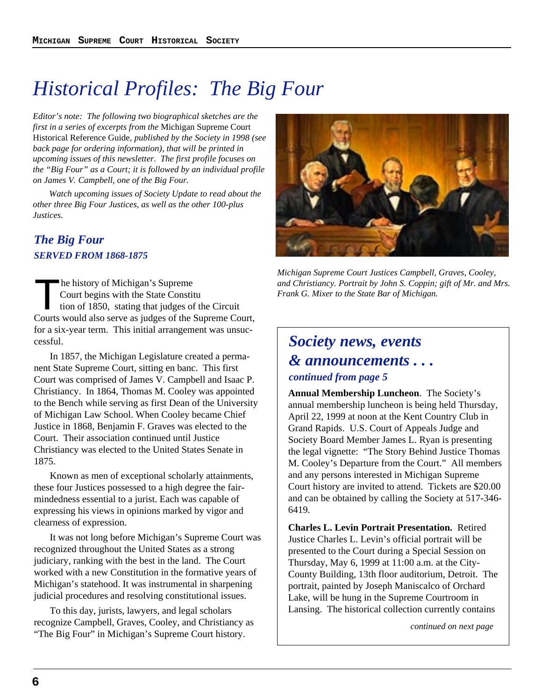# *Historical Profiles: The Big Four*

*Editor's note: The following two biographical sketches are the first in a series of excerpts from the* Michigan Supreme Court Historical Reference Guide*, published by the Society in 1998 (see back page for ordering information), that will be printed in upcoming issues of this newsletter. The first profile focuses on the "Big Four" as a Court; it is followed by an individual profile on James V. Campbell, one of the Big Four.*

*Watch upcoming issues of Society Update to read about the other three Big Four Justices, as well as the other 100-plus Justices.*

### *The Big Four SERVED FROM 1868-1875*

The history of Michigan's Supreme<br>Court begins with the State Constitution of 1850, stating that judges of<br>Courts would also serve as judges of the Court begins with the State Constitu tion of 1850, stating that judges of the Circuit Courts would also serve as judges of the Supreme Court, for a six-year term. This initial arrangement was unsuccessful.

In 1857, the Michigan Legislature created a permanent State Supreme Court, sitting en banc. This first Court was comprised of James V. Campbell and Isaac P. Christiancy. In 1864, Thomas M. Cooley was appointed to the Bench while serving as first Dean of the University of Michigan Law School. When Cooley became Chief Justice in 1868, Benjamin F. Graves was elected to the Court. Their association continued until Justice Christiancy was elected to the United States Senate in 1875.

Known as men of exceptional scholarly attainments, these four Justices possessed to a high degree the fairmindedness essential to a jurist. Each was capable of expressing his views in opinions marked by vigor and clearness of expression.

It was not long before Michigan's Supreme Court was recognized throughout the United States as a strong judiciary, ranking with the best in the land. The Court worked with a new Constitution in the formative years of Michigan's statehood. It was instrumental in sharpening judicial procedures and resolving constitutional issues.

To this day, jurists, lawyers, and legal scholars recognize Campbell, Graves, Cooley, and Christiancy as "The Big Four" in Michigan's Supreme Court history.



*Michigan Supreme Court Justices Campbell, Graves, Cooley, and Christiancy. Portrait by John S. Coppin; gift of Mr. and Mrs. Frank G. Mixer to the State Bar of Michigan.*

### *Society news, events & announcements . . . continued from page 5*

**Annual Membership Luncheon**. The Society's annual membership luncheon is being held Thursday, April 22, 1999 at noon at the Kent Country Club in Grand Rapids. U.S. Court of Appeals Judge and Society Board Member James L. Ryan is presenting the legal vignette: "The Story Behind Justice Thomas M. Cooley's Departure from the Court." All members and any persons interested in Michigan Supreme Court history are invited to attend. Tickets are \$20.00 and can be obtained by calling the Society at 517-346- 6419.

**Charles L. Levin Portrait Presentation.** Retired Justice Charles L. Levin's official portrait will be presented to the Court during a Special Session on Thursday, May 6, 1999 at 11:00 a.m. at the City-County Building, 13th floor auditorium, Detroit. The portrait, painted by Joseph Maniscalco of Orchard Lake, will be hung in the Supreme Courtroom in Lansing. The historical collection currently contains

*continued on next page*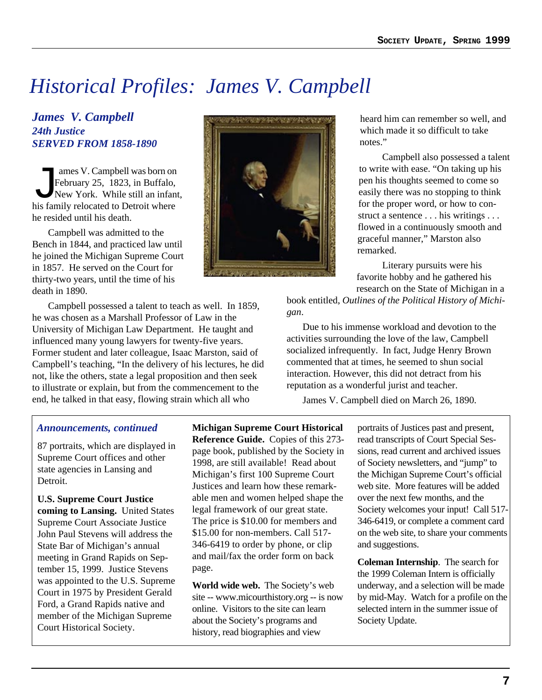# *Historical Profiles: James V. Campbell*

### *James V. Campbell 24th Justice SERVED FROM 1858-1890*

The V. Campbell was born on<br>February 25, 1823, in Buffalo,<br>New York. While still an infan<br>his family relocated to Detroit where February 25, 1823, in Buffalo, New York. While still an infant, his family relocated to Detroit where he resided until his death.

Campbell was admitted to the Bench in 1844, and practiced law until he joined the Michigan Supreme Court in 1857. He served on the Court for thirty-two years, until the time of his death in 1890.

Campbell possessed a talent to teach as well. In 1859, he was chosen as a Marshall Professor of Law in the University of Michigan Law Department. He taught and influenced many young lawyers for twenty-five years. Former student and later colleague, Isaac Marston, said of Campbell's teaching, "In the delivery of his lectures, he did not, like the others, state a legal proposition and then seek to illustrate or explain, but from the commencement to the end, he talked in that easy, flowing strain which all who

### *Announcements, continued*

87 portraits, which are displayed in Supreme Court offices and other state agencies in Lansing and Detroit.

**U.S. Supreme Court Justice coming to Lansing.** United States Supreme Court Associate Justice John Paul Stevens will address the State Bar of Michigan's annual meeting in Grand Rapids on September 15, 1999. Justice Stevens was appointed to the U.S. Supreme Court in 1975 by President Gerald Ford, a Grand Rapids native and member of the Michigan Supreme Court Historical Society.

**Michigan Supreme Court Historical Reference Guide.** Copies of this 273 page book, published by the Society in 1998, are still available! Read about Michigan's first 100 Supreme Court Justices and learn how these remarkable men and women helped shape the legal framework of our great state. The price is \$10.00 for members and \$15.00 for non-members. Call 517- 346-6419 to order by phone, or clip and mail/fax the order form on back page.

**World wide web.** The Society's web site -- www.micourthistory.org -- is now online. Visitors to the site can learn about the Society's programs and history, read biographies and view

heard him can remember so well, and which made it so difficult to take notes."

Campbell also possessed a talent to write with ease. "On taking up his pen his thoughts seemed to come so easily there was no stopping to think for the proper word, or how to construct a sentence . . . his writings . . . flowed in a continuously smooth and graceful manner," Marston also remarked.

Literary pursuits were his favorite hobby and he gathered his research on the State of Michigan in a

book entitled, *Outlines of the Political History of Michigan*.

Due to his immense workload and devotion to the activities surrounding the love of the law, Campbell socialized infrequently. In fact, Judge Henry Brown commented that at times, he seemed to shun social interaction. However, this did not detract from his reputation as a wonderful jurist and teacher.

James V. Campbell died on March 26, 1890.

portraits of Justices past and present, read transcripts of Court Special Sessions, read current and archived issues of Society newsletters, and "jump" to the Michigan Supreme Court's official web site. More features will be added over the next few months, and the Society welcomes your input! Call 517- 346-6419, or complete a comment card on the web site, to share your comments and suggestions.

**Coleman Internship**. The search for the 1999 Coleman Intern is officially underway, and a selection will be made by mid-May. Watch for a profile on the selected intern in the summer issue of Society Update.